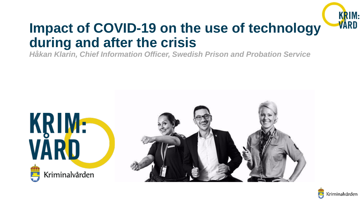

## **Impact of COVID-19 on the use of technology during and after the crisis**

*Håkan Klarin, Chief Information Officer, Swedish Prison and Probation Service*



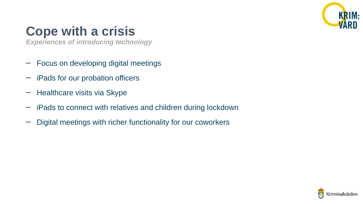

## **Cope with a crisis**

*Experiences of introducing technology*

- Focus on developing digital meetings
- iPads for our probation officers
- Healthcare visits via Skype
- iPads to connect with relatives and children during lockdown
- Digital meetings with richer functionality for our coworkers

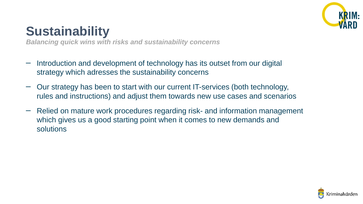

## **Sustainability**

*Balancing quick wins with risks and sustainability concerns*

- Introduction and development of technology has its outset from our digital strategy which adresses the sustainability concerns
- Our strategy has been to start with our current IT-services (both technology, rules and instructions) and adjust them towards new use cases and scenarios
- Relied on mature work procedures regarding risk- and information management which gives us a good starting point when it comes to new demands and solutions

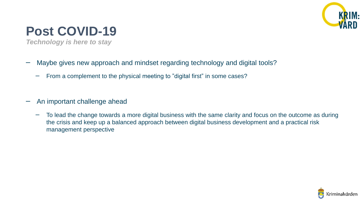

## **Post COVID-19**

*Technology is here to stay*

- Maybe gives new approach and mindset regarding technology and digital tools?
	- From a complement to the physical meeting to "digital first" in some cases?
- An important challenge ahead
	- To lead the change towards a more digital business with the same clarity and focus on the outcome as during the crisis and keep up a balanced approach between digital business development and a practical risk management perspective